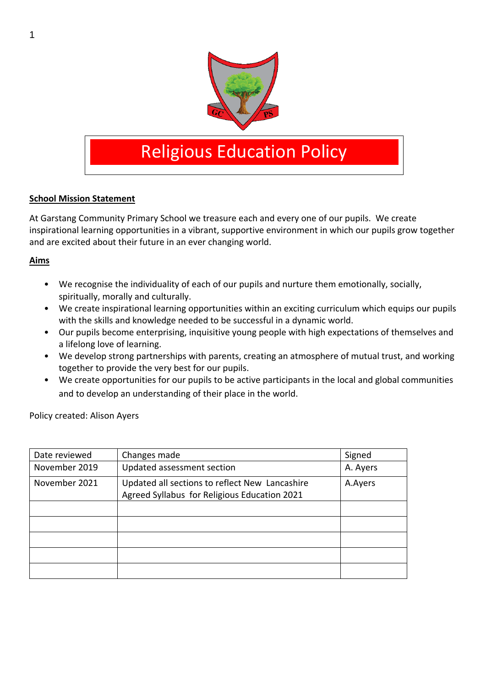

# Religious Education Policy

#### **School Mission Statement**

At Garstang Community Primary School we treasure each and every one of our pupils. We create inspirational learning opportunities in a vibrant, supportive environment in which our pupils grow together and are excited about their future in an ever changing world.

#### **Aims**

- We recognise the individuality of each of our pupils and nurture them emotionally, socially, spiritually, morally and culturally.
- We create inspirational learning opportunities within an exciting curriculum which equips our pupils with the skills and knowledge needed to be successful in a dynamic world.
- Our pupils become enterprising, inquisitive young people with high expectations of themselves and a lifelong love of learning.
- We develop strong partnerships with parents, creating an atmosphere of mutual trust, and working together to provide the very best for our pupils.
- We create opportunities for our pupils to be active participants in the local and global communities and to develop an understanding of their place in the world.

Policy created: Alison Ayers

| Date reviewed | Changes made                                                                                   | Signed   |
|---------------|------------------------------------------------------------------------------------------------|----------|
| November 2019 | Updated assessment section                                                                     | A. Ayers |
| November 2021 | Updated all sections to reflect New Lancashire<br>Agreed Syllabus for Religious Education 2021 | A.Ayers  |
|               |                                                                                                |          |
|               |                                                                                                |          |
|               |                                                                                                |          |
|               |                                                                                                |          |
|               |                                                                                                |          |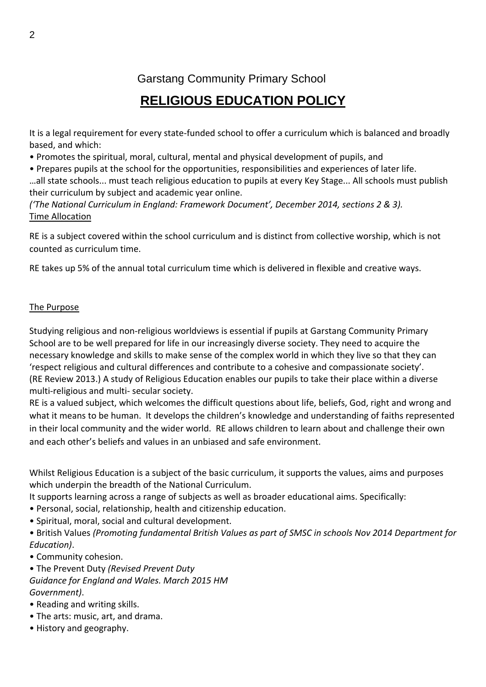Garstang Community Primary School

# **RELIGIOUS EDUCATION POLICY**

It is a legal requirement for every state-funded school to offer a curriculum which is balanced and broadly based, and which:

- Promotes the spiritual, moral, cultural, mental and physical development of pupils, and
- Prepares pupils at the school for the opportunities, responsibilities and experiences of later life.

…all state schools... must teach religious education to pupils at every Key Stage... All schools must publish their curriculum by subject and academic year online.

*('The National Curriculum in England: Framework Document', December 2014, sections 2 & 3).* Time Allocation

RE is a subject covered within the school curriculum and is distinct from collective worship, which is not counted as curriculum time.

RE takes up 5% of the annual total curriculum time which is delivered in flexible and creative ways.

#### The Purpose

Studying religious and non-religious worldviews is essential if pupils at Garstang Community Primary School are to be well prepared for life in our increasingly diverse society. They need to acquire the necessary knowledge and skills to make sense of the complex world in which they live so that they can 'respect religious and cultural differences and contribute to a cohesive and compassionate society'. (RE Review 2013.) A study of Religious Education enables our pupils to take their place within a diverse multi-religious and multi- secular society.

RE is a valued subject, which welcomes the difficult questions about life, beliefs, God, right and wrong and what it means to be human. It develops the children's knowledge and understanding of faiths represented in their local community and the wider world. RE allows children to learn about and challenge their own and each other's beliefs and values in an unbiased and safe environment.

Whilst Religious Education is a subject of the basic curriculum, it supports the values, aims and purposes which underpin the breadth of the National Curriculum.

It supports learning across a range of subjects as well as broader educational aims. Specifically:

- Personal, social, relationship, health and citizenship education.
- Spiritual, moral, social and cultural development.

• British Values *(Promoting fundamental British Values as part of SMSC in schools Nov 2014 Department for Education)*.

• Community cohesion.

• The Prevent Duty *(Revised Prevent Duty Guidance for England and Wales. March 2015 HM Government)*.

- Reading and writing skills.
- The arts: music, art, and drama.
- History and geography.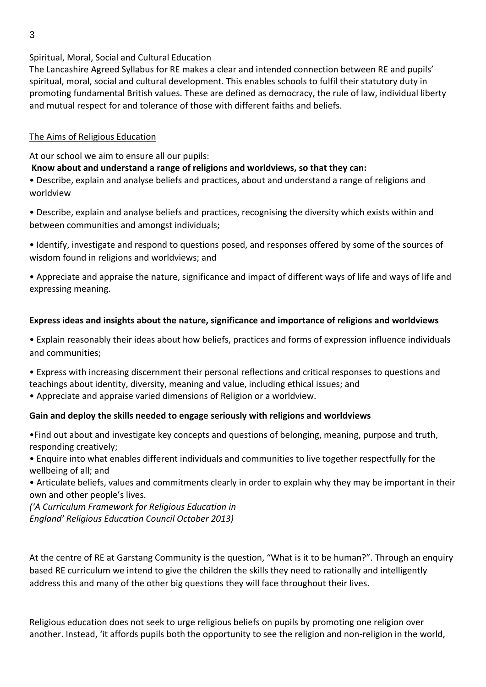# Spiritual, Moral, Social and Cultural Education

The Lancashire Agreed Syllabus for RE makes a clear and intended connection between RE and pupils' spiritual, moral, social and cultural development. This enables schools to fulfil their statutory duty in promoting fundamental British values. These are defined as democracy, the rule of law, individual liberty and mutual respect for and tolerance of those with different faiths and beliefs.

#### The Aims of Religious Education

At our school we aim to ensure all our pupils:

# **Know about and understand a range of religions and worldviews, so that they can:**

• Describe, explain and analyse beliefs and practices, about and understand a range of religions and worldview

• Describe, explain and analyse beliefs and practices, recognising the diversity which exists within and between communities and amongst individuals;

• Identify, investigate and respond to questions posed, and responses offered by some of the sources of wisdom found in religions and worldviews; and

• Appreciate and appraise the nature, significance and impact of different ways of life and ways of life and expressing meaning.

#### **Express ideas and insights about the nature, significance and importance of religions and worldviews**

• Explain reasonably their ideas about how beliefs, practices and forms of expression influence individuals and communities;

• Express with increasing discernment their personal reflections and critical responses to questions and teachings about identity, diversity, meaning and value, including ethical issues; and

• Appreciate and appraise varied dimensions of Religion or a worldview.

#### **Gain and deploy the skills needed to engage seriously with religions and worldviews**

•Find out about and investigate key concepts and questions of belonging, meaning, purpose and truth, responding creatively;

• Enquire into what enables different individuals and communities to live together respectfully for the wellbeing of all; and

• Articulate beliefs, values and commitments clearly in order to explain why they may be important in their own and other people's lives.

*('A Curriculum Framework for Religious Education in England' Religious Education Council October 2013)*

At the centre of RE at Garstang Community is the question, "What is it to be human?". Through an enquiry based RE curriculum we intend to give the children the skills they need to rationally and intelligently address this and many of the other big questions they will face throughout their lives.

Religious education does not seek to urge religious beliefs on pupils by promoting one religion over another. Instead, 'it affords pupils both the opportunity to see the religion and non-religion in the world,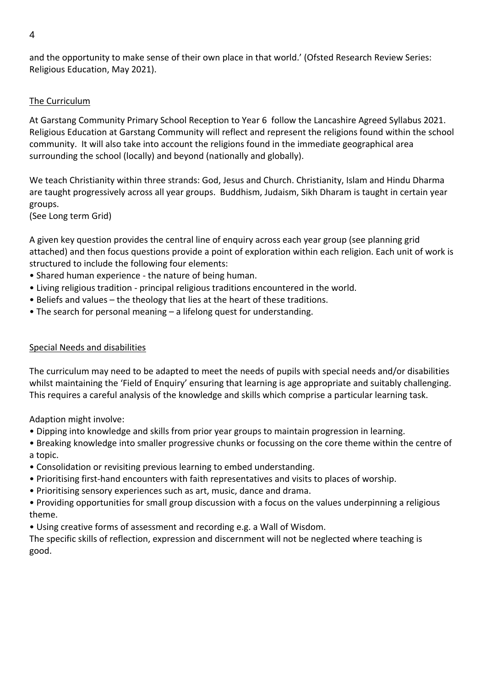and the opportunity to make sense of their own place in that world.' (Ofsted Research Review Series: Religious Education, May 2021).

# The Curriculum

At Garstang Community Primary School Reception to Year 6 follow the Lancashire Agreed Syllabus 2021. Religious Education at Garstang Community will reflect and represent the religions found within the school community. It will also take into account the religions found in the immediate geographical area surrounding the school (locally) and beyond (nationally and globally).

We teach Christianity within three strands: God, Jesus and Church. Christianity, Islam and Hindu Dharma are taught progressively across all year groups. Buddhism, Judaism, Sikh Dharam is taught in certain year groups.

(See Long term Grid)

A given key question provides the central line of enquiry across each year group (see planning grid attached) and then focus questions provide a point of exploration within each religion. Each unit of work is structured to include the following four elements:

- Shared human experience the nature of being human.
- Living religious tradition principal religious traditions encountered in the world.
- Beliefs and values the theology that lies at the heart of these traditions.
- The search for personal meaning a lifelong quest for understanding.

# Special Needs and disabilities

The curriculum may need to be adapted to meet the needs of pupils with special needs and/or disabilities whilst maintaining the 'Field of Enquiry' ensuring that learning is age appropriate and suitably challenging. This requires a careful analysis of the knowledge and skills which comprise a particular learning task.

Adaption might involve:

- Dipping into knowledge and skills from prior year groups to maintain progression in learning.
- Breaking knowledge into smaller progressive chunks or focussing on the core theme within the centre of a topic.
- Consolidation or revisiting previous learning to embed understanding.
- Prioritising first-hand encounters with faith representatives and visits to places of worship.
- Prioritising sensory experiences such as art, music, dance and drama.
- Providing opportunities for small group discussion with a focus on the values underpinning a religious theme.
- Using creative forms of assessment and recording e.g. a Wall of Wisdom.

The specific skills of reflection, expression and discernment will not be neglected where teaching is good.